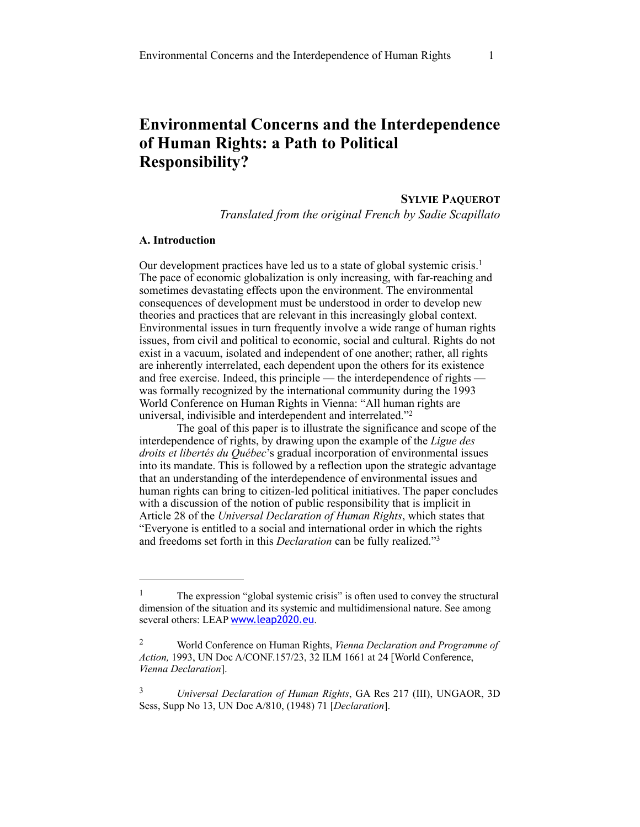# **Environmental Concerns and the Interdependence of Human Rights: a Path to Political Responsibility?**

**SYLVIE PAQUEROT** *Translated from the original French by Sadie Scapillato* 

# **A. Introduction**

Our development practices have led us to a state of global systemic crisis.<sup>1</sup> The pace of economic globalization is only increasing, with far-reaching and sometimes devastating effects upon the environment. The environmental consequences of development must be understood in order to develop new theories and practices that are relevant in this increasingly global context. Environmental issues in turn frequently involve a wide range of human rights issues, from civil and political to economic, social and cultural. Rights do not exist in a vacuum, isolated and independent of one another; rather, all rights are inherently interrelated, each dependent upon the others for its existence and free exercise. Indeed, this principle — the interdependence of rights was formally recognized by the international community during the 1993 World Conference on Human Rights in Vienna: "All human rights are universal, indivisible and interdependent and interrelated."<sup>2</sup>

The goal of this paper is to illustrate the significance and scope of the interdependence of rights, by drawing upon the example of the *Ligue des droits et libertés du Québec*'s gradual incorporation of environmental issues into its mandate. This is followed by a reflection upon the strategic advantage that an understanding of the interdependence of environmental issues and human rights can bring to citizen-led political initiatives. The paper concludes with a discussion of the notion of public responsibility that is implicit in Article 28 of the *Universal Declaration of Human Rights*, which states that "Everyone is entitled to a social and international order in which the rights and freedoms set forth in this *Declaration* can be fully realized."<sup>3</sup>

<sup>3</sup> *Universal Declaration of Human Rights*, GA Res 217 (III), UNGAOR, 3D Sess, Supp No 13, UN Doc A/810, (1948) 71 [*Declaration*].

The expression "global systemic crisis" is often used to convey the structural dimension of the situation and its systemic and multidimensional nature. See among several others: LEAP [www.leap2020.eu](http://www.leap2020.eu).

World Conference on Human Rights, *Vienna Declaration and Programme of* <sup>2</sup> *Action,* 1993, UN Doc A/CONF.157/23, 32 ILM 1661 at 24 [World Conference, *Vienna Declaration*].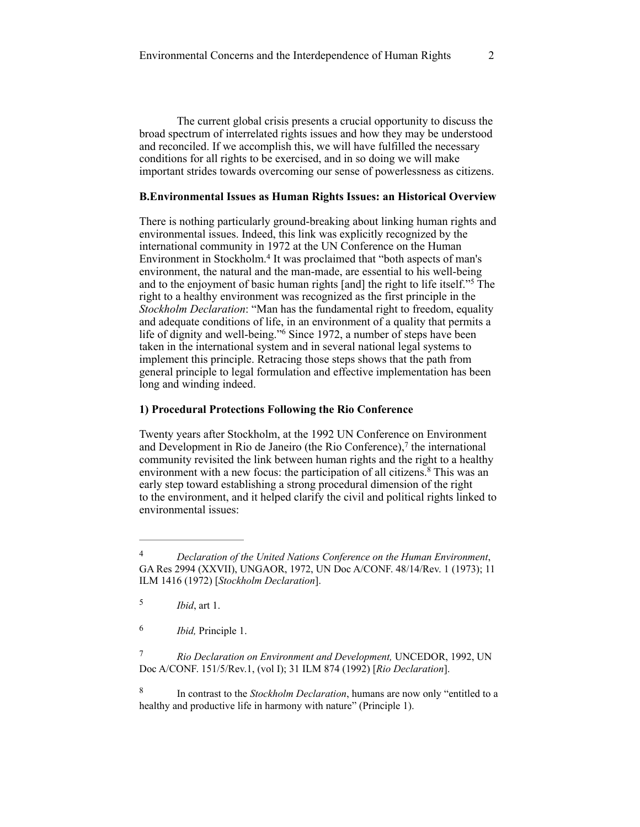The current global crisis presents a crucial opportunity to discuss the broad spectrum of interrelated rights issues and how they may be understood and reconciled. If we accomplish this, we will have fulfilled the necessary conditions for all rights to be exercised, and in so doing we will make important strides towards overcoming our sense of powerlessness as citizens.

# **B.Environmental Issues as Human Rights Issues: an Historical Overview**

There is nothing particularly ground-breaking about linking human rights and environmental issues. Indeed, this link was explicitly recognized by the international community in 1972 at the UN Conference on the Human Environment in Stockholm.<sup>4</sup> It was proclaimed that "both aspects of man's environment, the natural and the man-made, are essential to his well-being and to the enjoyment of basic human rights [and] the right to life itself."<sup>5</sup> The right to a healthy environment was recognized as the first principle in the *Stockholm Declaration*: "Man has the fundamental right to freedom, equality and adequate conditions of life, in an environment of a quality that permits a life of dignity and well-being."<sup>6</sup> Since 1972, a number of steps have been taken in the international system and in several national legal systems to implement this principle. Retracing those steps shows that the path from general principle to legal formulation and effective implementation has been long and winding indeed.

#### **1) Procedural Protections Following the Rio Conference**

Twenty years after Stockholm, at the 1992 UN Conference on Environment and Development in Rio de Janeiro (the Rio Conference), $<sup>7</sup>$  the international</sup> community revisited the link between human rights and the right to a healthy environment with a new focus: the participation of all citizens. $8$  This was an early step toward establishing a strong procedural dimension of the right to the environment, and it helped clarify the civil and political rights linked to environmental issues:

*Declaration of the United Nations Conference on the Human Environment*, 4 GA Res 2994 (XXVII), UNGAOR, 1972, UN Doc A/CONF. 48/14/Rev. 1 (1973); 11 ILM 1416 (1972) [*Stockholm Declaration*].

*Ibid*, art 1. <sup>5</sup>

*Ibid,* Principle 1. 6

*Rio Declaration on Environment and Development,* UNCEDOR, 1992, UN 7 Doc A/CONF. 151/5/Rev.1, (vol I); 31 ILM 874 (1992) [*Rio Declaration*].

<sup>&</sup>lt;sup>8</sup> In contrast to the *Stockholm Declaration*, humans are now only "entitled to a healthy and productive life in harmony with nature" (Principle 1).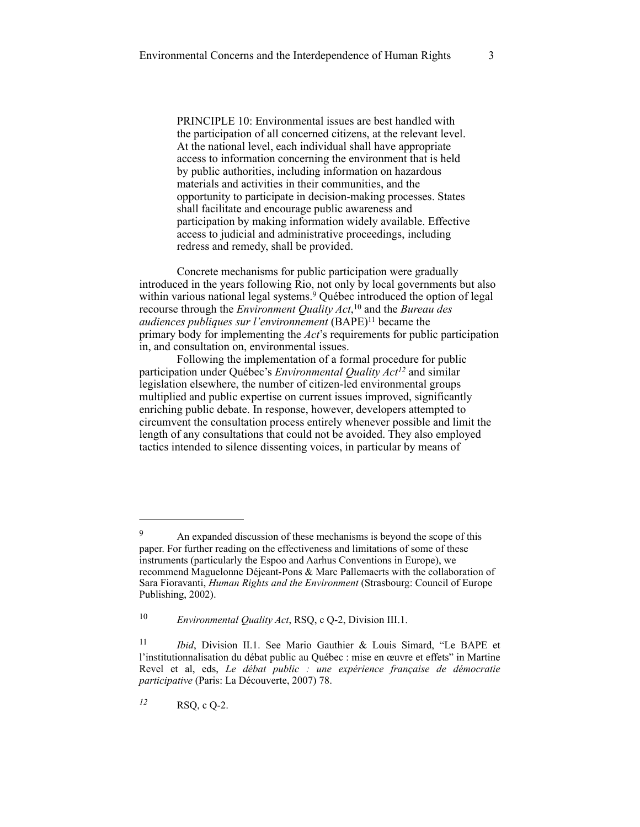PRINCIPLE 10: Environmental issues are best handled with the participation of all concerned citizens, at the relevant level. At the national level, each individual shall have appropriate access to information concerning the environment that is held by public authorities, including information on hazardous materials and activities in their communities, and the opportunity to participate in decision-making processes. States shall facilitate and encourage public awareness and participation by making information widely available. Effective access to judicial and administrative proceedings, including redress and remedy, shall be provided.

Concrete mechanisms for public participation were gradually introduced in the years following Rio, not only by local governments but also within various national legal systems.<sup>9</sup> Québec introduced the option of legal recourse through the *Environment Quality Act*,<sup>10</sup> and the *Bureau des audiences publiques sur l'environnement* (BAPE)<sup>11</sup> became the primary body for implementing the *Act*'s requirements for public participation in, and consultation on, environmental issues.

Following the implementation of a formal procedure for public participation under Québec's *Environmental Quality Act<sup>12</sup>* and similar legislation elsewhere, the number of citizen-led environmental groups multiplied and public expertise on current issues improved, significantly enriching public debate. In response, however, developers attempted to circumvent the consultation process entirely whenever possible and limit the length of any consultations that could not be avoided. They also employed tactics intended to silence dissenting voices, in particular by means of

RSQ, c Q-2. *<sup>12</sup>*

<sup>&</sup>lt;sup>9</sup> An expanded discussion of these mechanisms is beyond the scope of this paper. For further reading on the effectiveness and limitations of some of these instruments (particularly the Espoo and Aarhus Conventions in Europe), we recommend Maguelonne Déjeant-Pons & Marc Pallemaerts with the collaboration of Sara Fioravanti, *Human Rights and the Environment* (Strasbourg: Council of Europe Publishing, 2002).

<sup>&</sup>lt;sup>10</sup> *Environmental Quality Act*, RSQ, c Q-2, Division III.1.

<sup>&</sup>lt;sup>11</sup> *Ibid*, Division II.1. See Mario Gauthier & Louis Simard, "Le BAPE et l'institutionnalisation du débat public au Québec : mise en œuvre et effets" in Martine Revel et al, eds, *Le débat public : une expérience française de démocratie participative* (Paris: La Découverte, 2007) 78.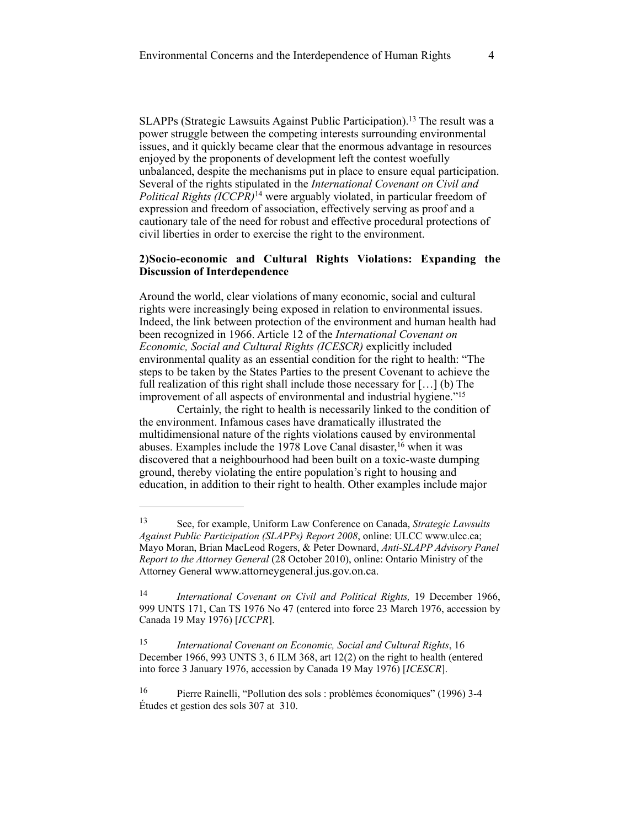SLAPPs (Strategic Lawsuits Against Public Participation).<sup>13</sup> The result was a power struggle between the competing interests surrounding environmental issues, and it quickly became clear that the enormous advantage in resources enjoyed by the proponents of development left the contest woefully unbalanced, despite the mechanisms put in place to ensure equal participation. Several of the rights stipulated in the *International Covenant on Civil and Political Rights (ICCPR)*<sup>14</sup> were arguably violated, in particular freedom of expression and freedom of association, effectively serving as proof and a cautionary tale of the need for robust and effective procedural protections of civil liberties in order to exercise the right to the environment.

## **2)Socio-economic and Cultural Rights Violations: Expanding the Discussion of Interdependence**

Around the world, clear violations of many economic, social and cultural rights were increasingly being exposed in relation to environmental issues. Indeed, the link between protection of the environment and human health had been recognized in 1966. Article 12 of the *International Covenant on Economic, Social and Cultural Rights (ICESCR)* explicitly included environmental quality as an essential condition for the right to health: "The steps to be taken by the States Parties to the present Covenant to achieve the full realization of this right shall include those necessary for […] (b) The improvement of all aspects of environmental and industrial hygiene."<sup>15</sup>

Certainly, the right to health is necessarily linked to the condition of the environment. Infamous cases have dramatically illustrated the multidimensional nature of the rights violations caused by environmental abuses. Examples include the 1978 Love Canal disaster,  $16$  when it was discovered that a neighbourhood had been built on a toxic-waste dumping ground, thereby violating the entire population's right to housing and education, in addition to their right to health. Other examples include major

See, for example, Uniform Law Conference on Canada, *Strategic Lawsuits* <sup>13</sup> *Against Public Participation (SLAPPs) Report 2008*, online: ULCC www.ulcc.ca; Mayo Moran, Brian MacLeod Rogers, & Peter Downard, *Anti-SLAPP Advisory Panel Report to the Attorney General* (28 October 2010), online: Ontario Ministry of the Attorney General [www.attorneygeneral.jus.gov.on.ca](http://www.attorneygeneral.jus.gov.on.ca).

<sup>&</sup>lt;sup>14</sup> International Covenant on Civil and Political Rights, 19 December 1966, 999 UNTS 171, Can TS 1976 No 47 (entered into force 23 March 1976, accession by Canada 19 May 1976) [*ICCPR*].

*International Covenant on Economic, Social and Cultural Rights*, 16 15 December 1966, 993 UNTS 3, 6 ILM 368, art 12(2) on the right to health (entered into force 3 January 1976, accession by Canada 19 May 1976) [*ICESCR*].

<sup>&</sup>lt;sup>16</sup> Pierre Rainelli, "Pollution des sols : problèmes économiques" (1996) 3-4 Études et gestion des sols 307 at 310.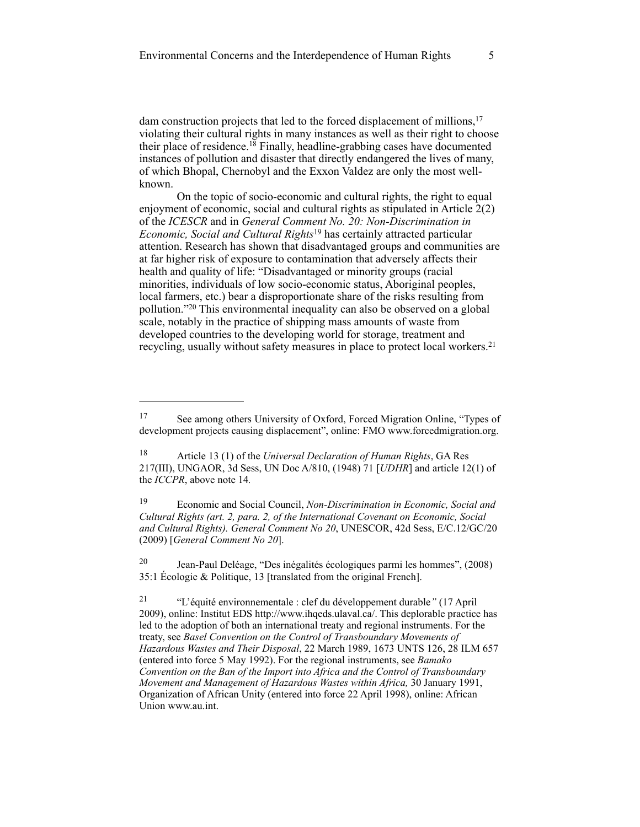dam construction projects that led to the forced displacement of millions,<sup>17</sup> violating their cultural rights in many instances as well as their right to choose their place of residence.<sup>18</sup> Finally, headline-grabbing cases have documented instances of pollution and disaster that directly endangered the lives of many, of which Bhopal, Chernobyl and the Exxon Valdez are only the most wellknown.

On the topic of socio-economic and cultural rights, the right to equal enjoyment of economic, social and cultural rights as stipulated in Article 2(2) of the *ICESCR* and in *General Comment No. 20: Non-Discrimination in Economic, Social and Cultural Rights*<sup>19</sup> has certainly attracted particular attention. Research has shown that disadvantaged groups and communities are at far higher risk of exposure to contamination that adversely affects their health and quality of life: "Disadvantaged or minority groups (racial minorities, individuals of low socio-economic status, Aboriginal peoples, local farmers, etc.) bear a disproportionate share of the risks resulting from pollution."<sup>20</sup> This environmental inequality can also be observed on a global scale, notably in the practice of shipping mass amounts of waste from developed countries to the developing world for storage, treatment and recycling, usually without safety measures in place to protect local workers. 21

<sup>&</sup>lt;sup>17</sup> See among others University of Oxford, Forced Migration Online, "Types of development projects causing displacement", online: FMO www.forcedmigration.org.

<sup>&</sup>lt;sup>18</sup> Article 13 (1) of the *Universal Declaration of Human Rights*, GA Res 217(III), UNGAOR, 3d Sess, UN Doc A/810, (1948) 71 [*UDHR*] and article 12(1) of the *ICCPR*, above note 14*.*

Economic and Social Council, *Non-Discrimination in Economic, Social and* <sup>19</sup> *Cultural Rights (art. 2, para. 2, of the International Covenant on Economic, Social and Cultural Rights). General Comment No 20*, UNESCOR, 42d Sess, E/C.12/GC/20 (2009) [*General Comment No 20*].

<sup>&</sup>lt;sup>20</sup> Jean-Paul Deléage, "Des inégalités écologiques parmi les hommes", (2008) 35:1 [Écologie & Politique, 1](http://www.ecologie-et-politique.info/?-rubrique275-)3 [translated from the original French].

 <sup>&</sup>quot;L'équité environnementale : clef du développement durable*"* (17 April 21 2009), online: Institut EDS [http://www.ihqeds.ulaval.ca/.](http://www.ihqeds.ulaval.ca/) This deplorable practice has led to the adoption of both an international treaty and regional instruments. For the treaty, see *Basel Convention on the Control of Transboundary Movements of Hazardous Wastes and Their Disposal*, 22 March 1989, 1673 UNTS 126, 28 ILM 657 (entered into force 5 May 1992). For the regional instruments, see *Bamako Convention on the Ban of the Import into Africa and the Control of Transboundary Movement and Management of Hazardous Wastes within Africa,* 30 January 1991, Organization of African Unity (entered into force 22 April 1998), online: African Union [www.au.int.](http://www.au.int)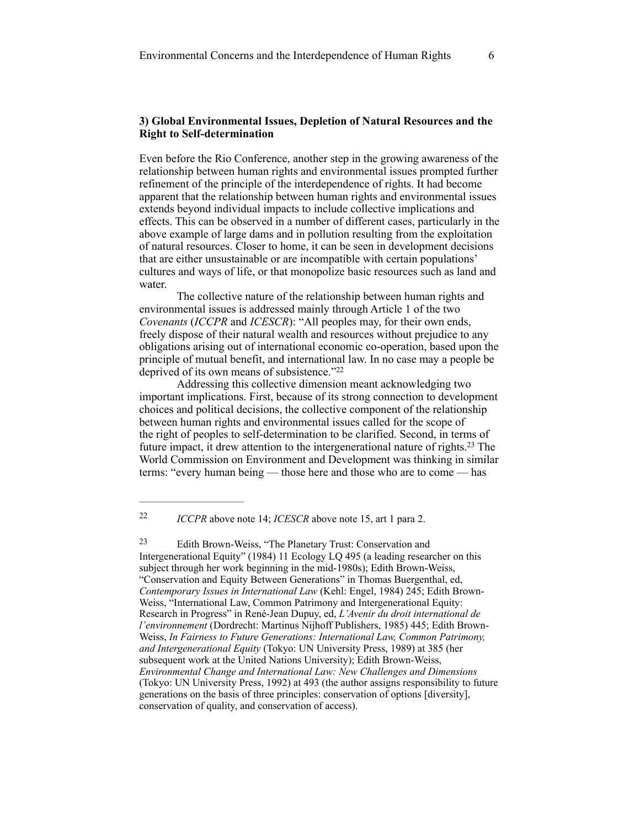## **3) Global Environmental Issues, Depletion of Natural Resources and the Right to Self-determination**

Even before the Rio Conference, another step in the growing awareness of the relationship between human rights and environmental issues prompted further refinement of the principle of the interdependence of rights. It had become apparent that the relationship between human rights and environmental issues extends beyond individual impacts to include collective implications and effects. This can be observed in a number of different cases, particularly in the above example of large dams and in pollution resulting from the exploitation of natural resources. Closer to home, it can be seen in development decisions that are either unsustainable or are incompatible with certain populations' cultures and ways of life, or that monopolize basic resources such as land and water.

The collective nature of the relationship between human rights and environmental issues is addressed mainly through Article 1 of the two *Covenants* (*ICCPR* and *ICESCR*): "All peoples may, for their own ends, freely dispose of their natural wealth and resources without prejudice to any obligations arising out of international economic co-operation, based upon the principle of mutual benefit, and international law. In no case may a people be deprived of its own means of subsistence."<sup>22</sup>

Addressing this collective dimension meant acknowledging two important implications. First, because of its strong connection to development choices and political decisions, the collective component of the relationship between human rights and environmental issues called for the scope of the right of peoples to self-determination to be clarified. Second, in terms of future impact, it drew attention to the intergenerational nature of rights.<sup>23</sup> The World Commission on Environment and Development was thinking in similar terms: "every human being — those here and those who are to come — has

<sup>&</sup>lt;sup>22</sup> *ICCPR* above note 14; *ICESCR* above note 15, art 1 para 2.

Edith Brown-Weiss, "The Planetary Trust: Conservation and 23 Intergenerational Equity" (1984) 11 Ecology LQ 495 (a leading researcher on this subject through her work beginning in the mid-1980s); Edith Brown-Weiss, "Conservation and Equity Between Generations" in Thomas Buergenthal, ed, *Contemporary Issues in International Law* (Kehl: Engel, 1984) 245; Edith Brown-Weiss, "International Law, Common Patrimony and Intergenerational Equity: Research in Progress" in René-Jean Dupuy, ed, *L'Avenir du droit international de l'environnement* (Dordrecht: Martinus Nijhoff Publishers, 1985) 445; Edith Brown-Weiss, *In Fairness to Future Generations: International Law, Common Patrimony, and Intergenerational Equity* (Tokyo: UN University Press, 1989) at 385 (her subsequent work at the United Nations University); Edith Brown-Weiss, *Environmental Change and International Law: New Challenges and Dimensions* (Tokyo: UN University Press, 1992) at 493 (the author assigns responsibility to future generations on the basis of three principles: conservation of options [diversity], conservation of quality, and conservation of access).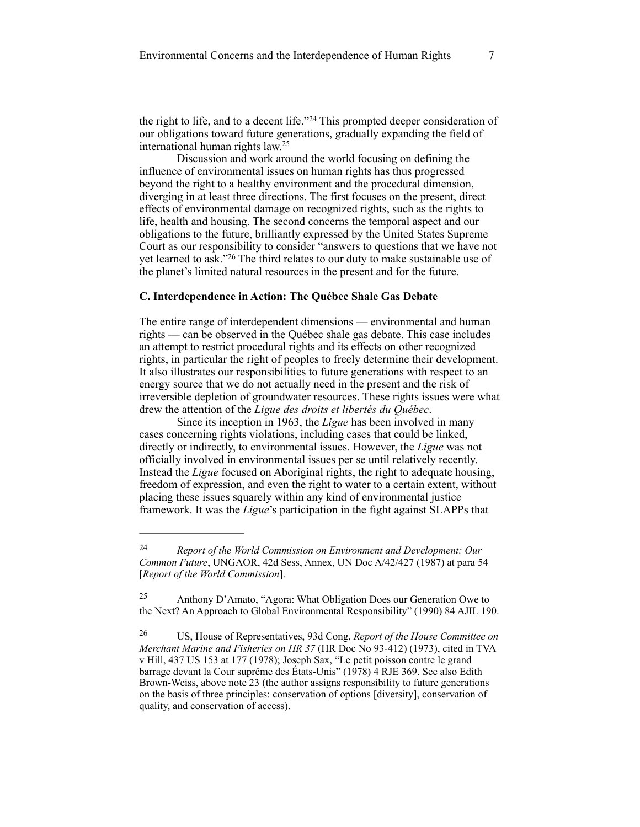the right to life, and to a decent life."<sup>24</sup> This prompted deeper consideration of our obligations toward future generations, gradually expanding the field of international human rights law.25

Discussion and work around the world focusing on defining the influence of environmental issues on human rights has thus progressed beyond the right to a healthy environment and the procedural dimension, diverging in at least three directions. The first focuses on the present, direct effects of environmental damage on recognized rights, such as the rights to life, health and housing. The second concerns the temporal aspect and our obligations to the future, brilliantly expressed by the United States Supreme Court as our responsibility to consider "answers to questions that we have not yet learned to ask."<sup>26</sup> The third relates to our duty to make sustainable use of the planet's limited natural resources in the present and for the future.

#### **C. Interdependence in Action: The Québec Shale Gas Debate**

The entire range of interdependent dimensions — environmental and human rights — can be observed in the Québec shale gas debate. This case includes an attempt to restrict procedural rights and its effects on other recognized rights, in particular the right of peoples to freely determine their development. It also illustrates our responsibilities to future generations with respect to an energy source that we do not actually need in the present and the risk of irreversible depletion of groundwater resources. These rights issues were what drew the attention of the *Ligue des droits et libertés du Québec*.

Since its inception in 1963, the *Ligue* has been involved in many cases concerning rights violations, including cases that could be linked, directly or indirectly, to environmental issues. However, the *Ligue* was not officially involved in environmental issues per se until relatively recently. Instead the *Ligue* focused on Aboriginal rights, the right to adequate housing, freedom of expression, and even the right to water to a certain extent, without placing these issues squarely within any kind of environmental justice framework. It was the *Ligue*'s participation in the fight against SLAPPs that

*Report of the World Commission on Environment and Development: Our* <sup>24</sup> *Common Future*, UNGAOR, 42d Sess, Annex, UN Doc A/42/427 (1987) at para 54 [*Report of the World Commission*].

Anthony D'Amato, "Agora: What Obligation Does our Generation Owe to 25 the Next? An Approach to Global Environmental Responsibility" (1990) 84 AJIL 190.

US, House of Representatives, 93d Cong, *Report of the House Committee on* <sup>26</sup> *Merchant Marine and Fisheries on HR 37* (HR Doc No 93-412) (1973), cited in TVA v Hill, 437 US 153 at 177 (1978); Joseph Sax, "Le petit poisson contre le grand barrage devant la Cour suprême des États-Unis" (1978) 4 RJE 369. See also Edith Brown-Weiss, above note 23 (the author assigns responsibility to future generations on the basis of three principles: conservation of options [diversity], conservation of quality, and conservation of access).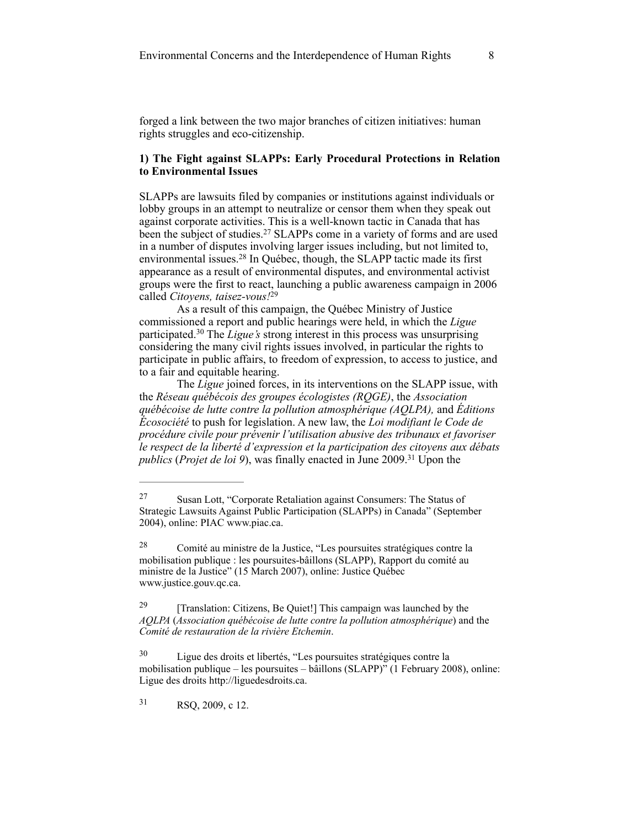forged a link between the two major branches of citizen initiatives: human rights struggles and eco-citizenship.

## **1) The Fight against SLAPPs: Early Procedural Protections in Relation to Environmental Issues**

SLAPPs are lawsuits filed by companies or institutions against individuals or lobby groups in an attempt to neutralize or censor them when they speak out against corporate activities. This is a well-known tactic in Canada that has been the subject of studies.<sup>27</sup> SLAPPs come in a variety of forms and are used in a number of disputes involving larger issues including, but not limited to, environmental issues.<sup>28</sup> In Québec, though, the SLAPP tactic made its first appearance as a result of environmental disputes, and environmental activist groups were the first to react, launching a public awareness campaign in 2006 called *Citoyens, taisez-vous!*<sup>29</sup>

As a result of this campaign, the Québec Ministry of Justice commissioned a report and public hearings were held, in which the *Ligue* participated.<sup>30</sup> The *Ligue's* strong interest in this process was unsurprising considering the many civil rights issues involved, in particular the rights to participate in public affairs, to freedom of expression, to access to justice, and to a fair and equitable hearing.

The *Ligue* joined forces, in its interventions on the SLAPP issue, with the *Réseau québécois des groupes écologistes (RQGE)*, the *Association québécoise de lutte contre la pollution atmosphérique (AQLPA),* and *Éditions Écosociété* to push for legislation. A new law, the *Loi modifiant le Code de procédure civile pour prévenir l'utilisation abusive des tribunaux et favoriser le respect de la liberté d'expression et la participation des citoyens aux débats publics (Projet de loi 9)*, was finally enacted in June 2009.<sup>31</sup> Upon the

31 RSQ, 2009, c 12.

Susan Lott, "Corporate Retaliation against Consumers: The Status of 27 Strategic Lawsuits Against Public Participation (SLAPPs) in Canada" (September 2004), online: PIAC www.piac.ca.

Comité au ministre de la Justice, "Les poursuites stratégiques contre la 28 mobilisation publique : les poursuites-bâillons (SLAPP), Rapport du comité au ministre de la Justice" (15 March 2007), online: Justice Québec [www.justice.gouv.qc.ca](http://www.justice.gouv.qc.ca/).

<sup>&</sup>lt;sup>29</sup> [Translation: Citizens, Be Quiet!] This campaign was launched by the *AQLPA* (*Association québécoise de lutte contre la pollution atmosphérique*) and the *Comité de restauration de la rivière Etchemin*.

Ligue des droits et libertés, "Les poursuites stratégiques contre la 30 mobilisation publique – les poursuites – bâillons (SLAPP)" (1 February 2008), online: Ligue des droits http://liguedesdroits.ca.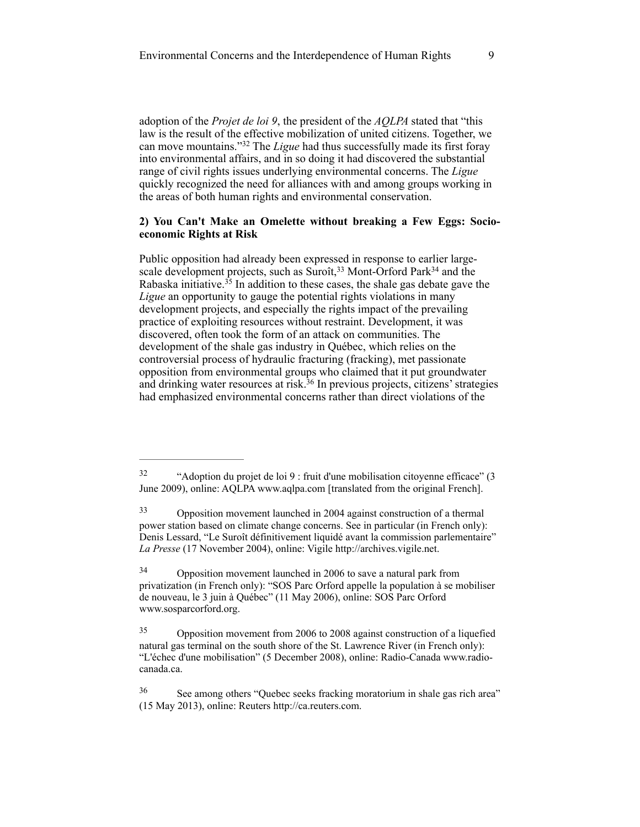adoption of the *Projet de loi 9*, the president of the *AQLPA* stated that "this law is the result of the effective mobilization of united citizens. Together, we can move mountains."<sup>32</sup> The *Ligue* had thus successfully made its first foray into environmental affairs, and in so doing it had discovered the substantial range of civil rights issues underlying environmental concerns. The *Ligue* quickly recognized the need for alliances with and among groups working in the areas of both human rights and environmental conservation.

#### **2) You Can't Make an Omelette without breaking a Few Eggs: Socioeconomic Rights at Risk**

Public opposition had already been expressed in response to earlier largescale development projects, such as  $Suroft<sup>33</sup>$  Mont-Orford Park<sup>34</sup> and the Rabaska initiative.<sup>35</sup> In addition to these cases, the shale gas debate gave the *Ligue* an opportunity to gauge the potential rights violations in many development projects, and especially the rights impact of the prevailing practice of exploiting resources without restraint. Development, it was discovered, often took the form of an attack on communities. The development of the shale gas industry in Québec, which relies on the controversial process of hydraulic fracturing (fracking), met passionate opposition from environmental groups who claimed that it put groundwater and drinking water resources at risk.<sup>36</sup> In previous projects, citizens' strategies had emphasized environmental concerns rather than direct violations of the

<sup>&</sup>lt;sup>32</sup> "Adoption du projet de loi 9 : fruit d'une mobilisation citoyenne efficace" (3 June 2009), online: AQLPA www.aqlpa.com [translated from the original French].

Opposition movement launched in 2004 against construction of a thermal 33 power station based on climate change concerns. See in particular (in French only): Denis Lessard, "Le Suroît définitivement liquidé avant la commission parlementaire" *La Presse* (17 November 2004), online: Vigile [http://archives.vigile.net](http://archives.vigile.net/ds-actu/docs4a/11-17.html#lpdl).

Opposition movement launched in 2006 to save a natural park from 34 privatization (in French only): "SOS Parc Orford appelle la population à se mobiliser de nouveau, le 3 juin à Québec" (11 May 2006), online: SOS Parc Orford [www.sosparcorford.org](http://www.sosparcorford.org/IMG/pdf/rass-3-juin-2.pdf).

<sup>&</sup>lt;sup>35</sup> Opposition movement from 2006 to 2008 against construction of a liquefied natural gas terminal on the south shore of the St. Lawrence River (in French only): ["L'échec d'une mobilisation" \(5 December 2008\), online: Radio-Canada www.radio](http://www.radio-canada.ca/arts-spectacles/cinema/2008/12/02/001-bataille-rabaska.asp?ref=rss)canada.ca.

See among others "Quebec seeks fracking moratorium in shale gas rich area" 36 (15 May 2013), online: Reuters http://ca.reuters.com.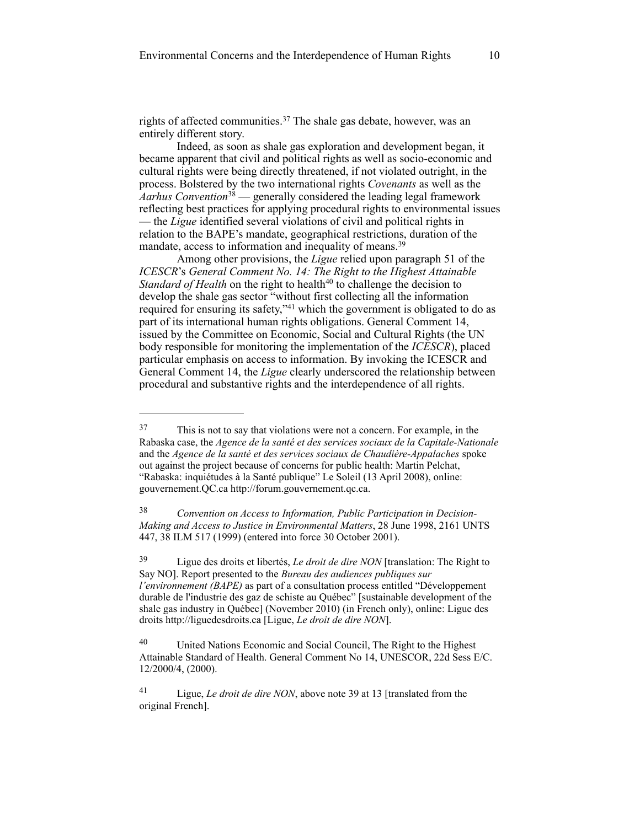rights of affected communities.<sup>37</sup> The shale gas debate, however, was an entirely different story.

Indeed, as soon as shale gas exploration and development began, it became apparent that civil and political rights as well as socio-economic and cultural rights were being directly threatened, if not violated outright, in the process. Bolstered by the two international rights *Covenants* as well as the  $\hat{A}$ arhus Convention<sup>38</sup> — generally considered the leading legal framework reflecting best practices for applying procedural rights to environmental issues — the *Ligue* identified several violations of civil and political rights in relation to the BAPE's mandate, geographical restrictions, duration of the mandate, access to information and inequality of means.<sup>39</sup>

Among other provisions, the *Ligue* relied upon paragraph 51 of the *ICESCR*'s *General Comment No. 14: The Right to the Highest Attainable Standard of Health* on the right to health<sup>40</sup> to challenge the decision to develop the shale gas sector "without first collecting all the information required for ensuring its safety," $41$  which the government is obligated to do as part of its international human rights obligations. General Comment 14, issued by the Committee on Economic, Social and Cultural Rights (the UN body responsible for monitoring the implementation of the *ICESCR*), placed particular emphasis on access to information. By invoking the ICESCR and General Comment 14, the *Ligue* clearly underscored the relationship between procedural and substantive rights and the interdependence of all rights.

 *Convention on Access to Information, Public Participation in Decision-* <sup>38</sup> *Making and Access to Justice in Environmental Matters*, 28 June 1998, 2161 UNTS 447, 38 ILM 517 (1999) (entered into force 30 October 2001).

 Ligue des droits et libertés, *Le droit de dire NON* [translation: The Right to 39 Say NO]. Report presented to the *Bureau des audiences publiques sur l'environnement (BAPE)* as part of a consultation process entitled "Développement durable de l'industrie des gaz de schiste au Québec" [sustainable development of the shale gas industry in Québec] (November 2010) (in French only), online: Ligue des droits [http://liguedesdroits.ca](http://liguedesdroits.ca/assets/files/memoire%2520ligue-BAPE-gazdeschiste-nov2010-FINAL(1).pdf) [Ligue, *Le droit de dire NON*].

This is not to say that violations were not a concern. For example, in the 37 Rabaska case, the *Agence de la santé et des services sociaux de la Capitale-Nationale* and the *Agence de la santé et des services sociaux de Chaudière-Appalaches* spoke out against the project because of concerns for public health: Martin Pelchat, "Rabaska: inquiétudes à la Santé publique" Le Soleil (13 April 2008), online: gouvernement.QC.ca [http://forum.gouvernement.qc.ca](http://forum.gouvernement.qc.ca/index.php?topic=2765.0).

<sup>&</sup>lt;sup>40</sup> United Nations Economic and Social Council, The Right to the Highest Attainable Standard of Health. General Comment No 14, UNESCOR, 22d Sess E/C. 12/2000/4, (2000).

<sup>&</sup>lt;sup>41</sup> Ligue, *Le droit de dire NON*, above note 39 at 13 [translated from the original French].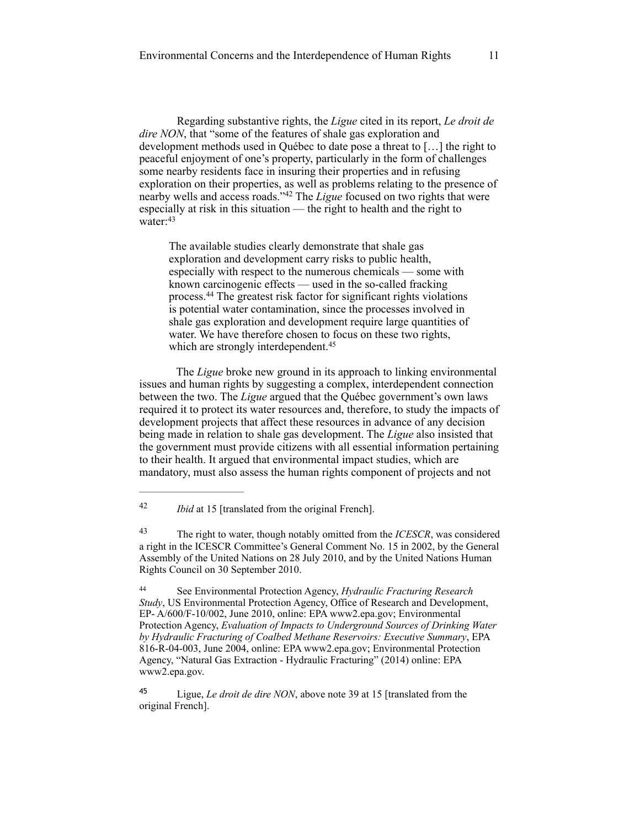Regarding substantive rights, the *Ligue* cited in its report, *Le droit de dire NON*, that "some of the features of shale gas exploration and development methods used in Québec to date pose a threat to […] the right to peaceful enjoyment of one's property, particularly in the form of challenges some nearby residents face in insuring their properties and in refusing exploration on their properties, as well as problems relating to the presence of nearby wells and access roads."<sup>42</sup> The *Ligue* focused on two rights that were especially at risk in this situation — the right to health and the right to water: 43

The available studies clearly demonstrate that shale gas exploration and development carry risks to public health, especially with respect to the numerous chemicals — some with known carcinogenic effects — used in the so-called fracking process.<sup>44</sup> The greatest risk factor for significant rights violations is potential water contamination, since the processes involved in shale gas exploration and development require large quantities of water. We have therefore chosen to focus on these two rights, which are strongly interdependent.<sup>45</sup>

 The *Ligue* broke new ground in its approach to linking environmental issues and human rights by suggesting a complex, interdependent connection between the two. The *Ligue* argued that the Québec government's own laws required it to protect its water resources and, therefore, to study the impacts of development projects that affect these resources in advance of any decision being made in relation to shale gas development. The *Ligue* also insisted that the government must provide citizens with all essential information pertaining to their health. It argued that environmental impact studies, which are mandatory, must also assess the human rights component of projects and not

<sup>45</sup> Ligue, *Le droit de dire NON*, above note 39 at 15 [translated from the original French].

<sup>&</sup>lt;sup>42</sup> *Ibid* at 15 [translated from the original French].

The right to water, though notably omitted from the *ICESCR*, was considered 43 a right in the ICESCR Committee's General Comment No. 15 in 2002, by the General Assembly of the United Nations on 28 July 2010, and by the United Nations Human Rights Council on 30 September 2010.

See Environmental Protection Agency, *Hydraulic Fracturing Research* <sup>44</sup> *Study*, US Environmental Protection Agency, Office of Research and Development, EP- A/600/F-10/002, June 2010, online: EPA [www2.epa.gov](http://www2.epa.gov/); Environmental Protection Agency, *Evaluation of Impacts to Underground Sources of Drinking Water by Hydraulic Fracturing of Coalbed Methane Reservoirs: Executive Summary*, EPA 816-R-04-003, June 2004, online: EPA [www2.epa.gov](http://www2.epa.gov/); Environmental Protection Agency, "Natural Gas Extraction - Hydraulic Fracturing" (2014) online: EPA [www2.epa.gov](http://www2.epa.gov/).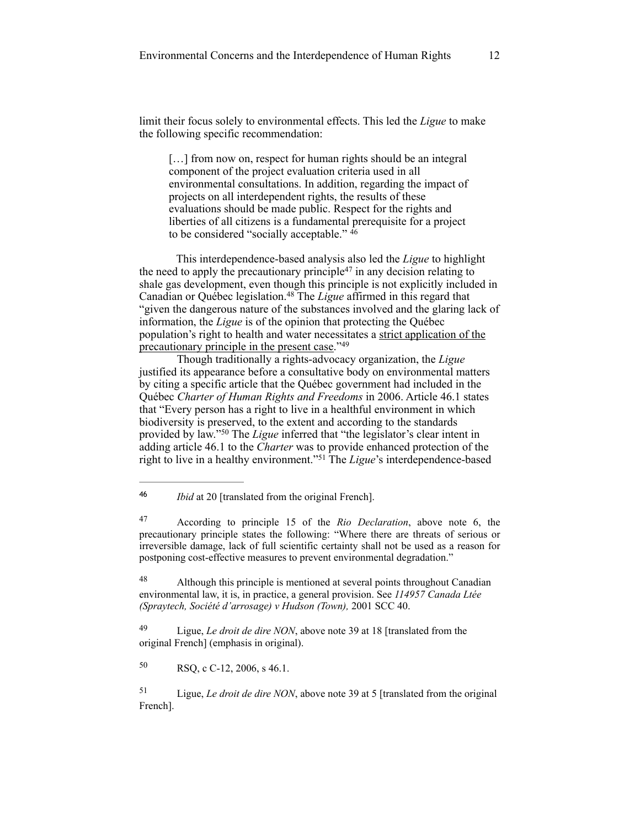limit their focus solely to environmental effects. This led the *Ligue* to make the following specific recommendation:

[...] from now on, respect for human rights should be an integral component of the project evaluation criteria used in all environmental consultations. In addition, regarding the impact of projects on all interdependent rights, the results of these evaluations should be made public. Respect for the rights and liberties of all citizens is a fundamental prerequisite for a project to be considered "socially acceptable." 46

 This interdependence-based analysis also led the *Ligue* to highlight the need to apply the precautionary principle<sup>47</sup> in any decision relating to shale gas development, even though this principle is not explicitly included in Canadian or Québec legislation.<sup>48</sup> The *Ligue* affirmed in this regard that "given the dangerous nature of the substances involved and the glaring lack of information, the *Ligue* is of the opinion that protecting the Québec population's right to health and water necessitates a strict application of the precautionary principle in the present case."49

Though traditionally a rights-advocacy organization, the *Ligue* justified its appearance before a consultative body on environmental matters by citing a specific article that the Québec government had included in the Québec *Charter of Human Rights and Freedoms* in 2006. Article 46.1 states that "Every person has a right to live in a healthful environment in which biodiversity is preserved, to the extent and according to the standards provided by law."<sup>50</sup> The *Ligue* inferred that "the legislator's clear intent in adding article 46.1 to the *Charter* was to provide enhanced protection of the right to live in a healthy environment."<sup>51</sup> The *Ligue*'s interdependence-based

*Ibid* at 20 [translated from the original French]. <sup>46</sup>

 According to principle 15 of the *Rio Declaration*, above note 6, the 47 precautionary principle states the following: "Where there are threats of serious or irreversible damage, lack of full scientific certainty shall not be used as a reason for postponing cost-effective measures to prevent environmental degradation."

 Although this principle is mentioned at several points throughout Canadian 48 environmental law, it is, in practice, a general provision. See *114957 Canada Ltée (Spraytech, Société d'arrosage) v Hudson (Town),* 2001 SCC 40.

<sup>49</sup> Ligue, *Le droit de dire NON*, above note 39 at 18 [translated from the original French] (emphasis in original).

 $RSQ$ , c C-12, 2006, s 46.1.

 Ligue, *Le droit de dire NON*, above note 39 at 5 [translated from the original 51 French].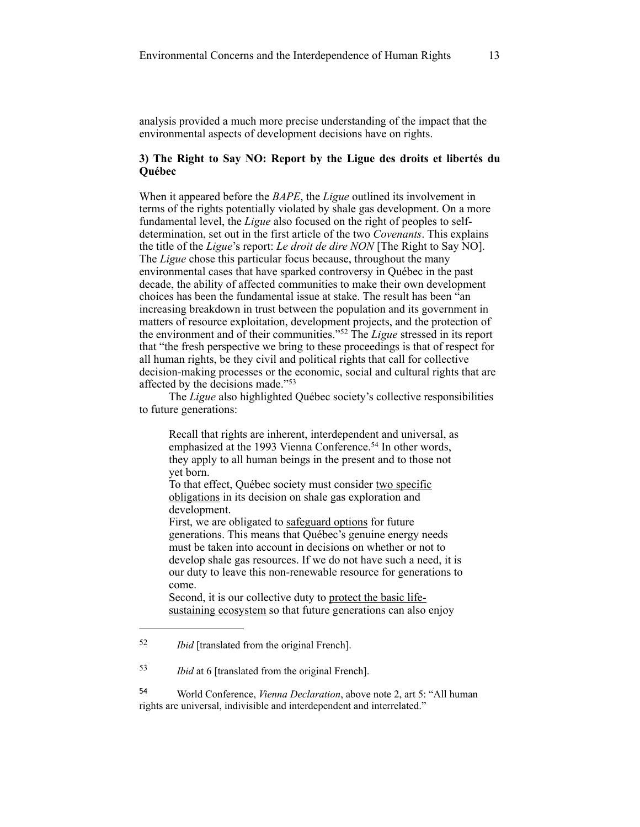analysis provided a much more precise understanding of the impact that the environmental aspects of development decisions have on rights.

## **3) The Right to Say NO: Report by the Ligue des droits et libertés du Québec**

When it appeared before the *BAPE*, the *Ligue* outlined its involvement in terms of the rights potentially violated by shale gas development. On a more fundamental level, the *Ligue* also focused on the right of peoples to selfdetermination, set out in the first article of the two *Covenants*. This explains the title of the *Ligue*'s report: *Le droit de dire NON* [The Right to Say NO]. The *Ligue* chose this particular focus because, throughout the many environmental cases that have sparked controversy in Québec in the past decade, the ability of affected communities to make their own development choices has been the fundamental issue at stake. The result has been "an increasing breakdown in trust between the population and its government in matters of resource exploitation, development projects, and the protection of the environment and of their communities."<sup>52</sup> The *Ligue* stressed in its report that "the fresh perspective we bring to these proceedings is that of respect for all human rights, be they civil and political rights that call for collective decision-making processes or the economic, social and cultural rights that are affected by the decisions made."53

The *Ligue* also highlighted Québec society's collective responsibilities to future generations:

Recall that rights are inherent, interdependent and universal, as emphasized at the 1993 Vienna Conference.<sup>54</sup> In other words, they apply to all human beings in the present and to those not yet born.

To that effect, Québec society must consider two specific obligations in its decision on shale gas exploration and development.

First, we are obligated to safeguard options for future generations. This means that Québec's genuine energy needs must be taken into account in decisions on whether or not to develop shale gas resources. If we do not have such a need, it is our duty to leave this non-renewable resource for generations to come.

Second, it is our collective duty to protect the basic lifesustaining ecosystem so that future generations can also enjoy

*Ibid* [translated from the original French]. <sup>52</sup>

*Ibid* at 6 [translated from the original French].

<sup>&</sup>lt;sup>54</sup> World Conference, *Vienna Declaration*, above note 2, art 5: "All human rights are universal, indivisible and interdependent and interrelated."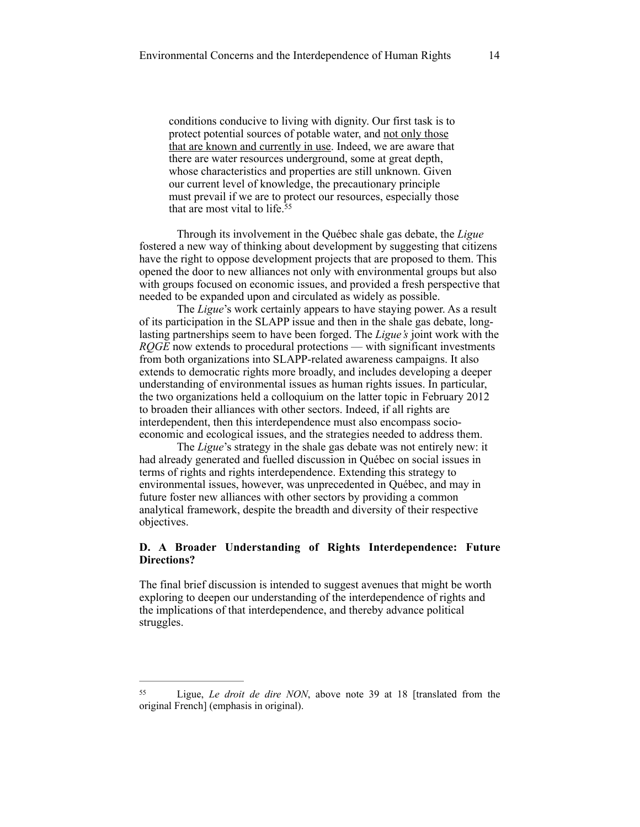conditions conducive to living with dignity. Our first task is to protect potential sources of potable water, and not only those that are known and currently in use. Indeed, we are aware that there are water resources underground, some at great depth, whose characteristics and properties are still unknown. Given our current level of knowledge, the precautionary principle must prevail if we are to protect our resources, especially those that are most vital to life.55

Through its involvement in the Québec shale gas debate, the *Ligue*  fostered a new way of thinking about development by suggesting that citizens have the right to oppose development projects that are proposed to them. This opened the door to new alliances not only with environmental groups but also with groups focused on economic issues, and provided a fresh perspective that needed to be expanded upon and circulated as widely as possible.

The *Ligue*'s work certainly appears to have staying power. As a result of its participation in the SLAPP issue and then in the shale gas debate, longlasting partnerships seem to have been forged. The *Ligue's* joint work with the *RQGE* now extends to procedural protections — with significant investments from both organizations into SLAPP-related awareness campaigns. It also extends to democratic rights more broadly, and includes developing a deeper understanding of environmental issues as human rights issues. In particular, the two organizations held a colloquium on the latter topic in February 2012 to broaden their alliances with other sectors. Indeed, if all rights are interdependent, then this interdependence must also encompass socioeconomic and ecological issues, and the strategies needed to address them.

The *Ligue*'s strategy in the shale gas debate was not entirely new: it had already generated and fuelled discussion in Québec on social issues in terms of rights and rights interdependence. Extending this strategy to environmental issues, however, was unprecedented in Québec, and may in future foster new alliances with other sectors by providing a common analytical framework, despite the breadth and diversity of their respective objectives.

# **D. A Broader Understanding of Rights Interdependence: Future Directions?**

The final brief discussion is intended to suggest avenues that might be worth exploring to deepen our understanding of the interdependence of rights and the implications of that interdependence, and thereby advance political struggles.

<sup>&</sup>lt;sup>55</sup> Ligue, *Le droit de dire NON*, above note 39 at 18 [translated from the original French] (emphasis in original).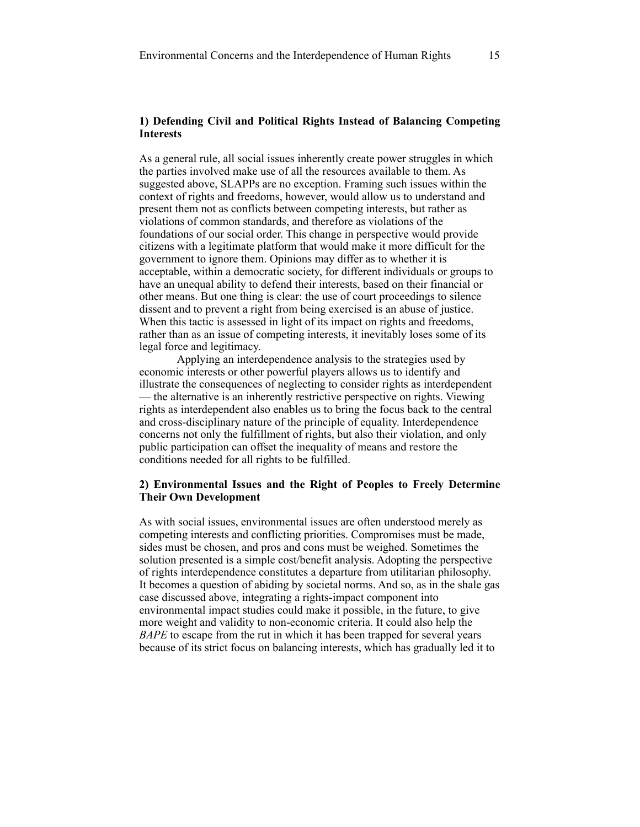# **1) Defending Civil and Political Rights Instead of Balancing Competing Interests**

As a general rule, all social issues inherently create power struggles in which the parties involved make use of all the resources available to them. As suggested above, SLAPPs are no exception. Framing such issues within the context of rights and freedoms, however, would allow us to understand and present them not as conflicts between competing interests, but rather as violations of common standards, and therefore as violations of the foundations of our social order. This change in perspective would provide citizens with a legitimate platform that would make it more difficult for the government to ignore them. Opinions may differ as to whether it is acceptable, within a democratic society, for different individuals or groups to have an unequal ability to defend their interests, based on their financial or other means. But one thing is clear: the use of court proceedings to silence dissent and to prevent a right from being exercised is an abuse of justice. When this tactic is assessed in light of its impact on rights and freedoms, rather than as an issue of competing interests, it inevitably loses some of its legal force and legitimacy.

Applying an interdependence analysis to the strategies used by economic interests or other powerful players allows us to identify and illustrate the consequences of neglecting to consider rights as interdependent — the alternative is an inherently restrictive perspective on rights. Viewing rights as interdependent also enables us to bring the focus back to the central and cross-disciplinary nature of the principle of equality. Interdependence concerns not only the fulfillment of rights, but also their violation, and only public participation can offset the inequality of means and restore the conditions needed for all rights to be fulfilled.

# **2) Environmental Issues and the Right of Peoples to Freely Determine Their Own Development**

As with social issues, environmental issues are often understood merely as competing interests and conflicting priorities. Compromises must be made, sides must be chosen, and pros and cons must be weighed. Sometimes the solution presented is a simple cost/benefit analysis. Adopting the perspective of rights interdependence constitutes a departure from utilitarian philosophy. It becomes a question of abiding by societal norms. And so, as in the shale gas case discussed above, integrating a rights-impact component into environmental impact studies could make it possible, in the future, to give more weight and validity to non-economic criteria. It could also help the *BAPE* to escape from the rut in which it has been trapped for several years because of its strict focus on balancing interests, which has gradually led it to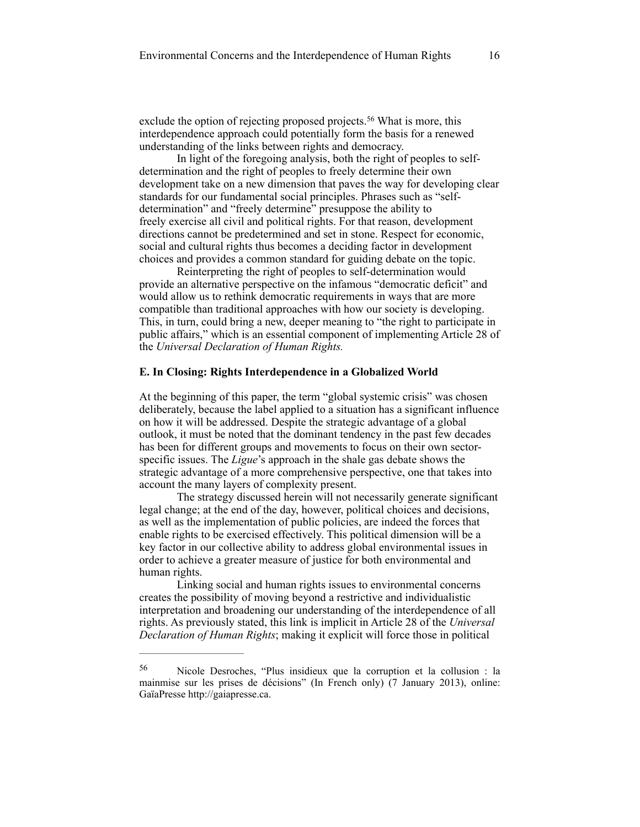exclude the option of rejecting proposed projects.<sup>56</sup> What is more, this interdependence approach could potentially form the basis for a renewed understanding of the links between rights and democracy.

In light of the foregoing analysis, both the right of peoples to selfdetermination and the right of peoples to freely determine their own development take on a new dimension that paves the way for developing clear standards for our fundamental social principles. Phrases such as "selfdetermination" and "freely determine" presuppose the ability to freely exercise all civil and political rights. For that reason, development directions cannot be predetermined and set in stone. Respect for economic, social and cultural rights thus becomes a deciding factor in development choices and provides a common standard for guiding debate on the topic.

Reinterpreting the right of peoples to self-determination would provide an alternative perspective on the infamous "democratic deficit" and would allow us to rethink democratic requirements in ways that are more compatible than traditional approaches with how our society is developing. This, in turn, could bring a new, deeper meaning to "the right to participate in public affairs," which is an essential component of implementing Article 28 of the *Universal Declaration of Human Rights.*

#### **E. In Closing: Rights Interdependence in a Globalized World**

At the beginning of this paper, the term "global systemic crisis" was chosen deliberately, because the label applied to a situation has a significant influence on how it will be addressed. Despite the strategic advantage of a global outlook, it must be noted that the dominant tendency in the past few decades has been for different groups and movements to focus on their own sectorspecific issues. The *Ligue*'s approach in the shale gas debate shows the strategic advantage of a more comprehensive perspective, one that takes into account the many layers of complexity present.

The strategy discussed herein will not necessarily generate significant legal change; at the end of the day, however, political choices and decisions, as well as the implementation of public policies, are indeed the forces that enable rights to be exercised effectively. This political dimension will be a key factor in our collective ability to address global environmental issues in order to achieve a greater measure of justice for both environmental and human rights.

Linking social and human rights issues to environmental concerns creates the possibility of moving beyond a restrictive and individualistic interpretation and broadening our understanding of the interdependence of all rights. As previously stated, this link is implicit in Article 28 of the *Universal Declaration of Human Rights*; making it explicit will force those in political

Nicole Desroches, "Plus insidieux que la corruption et la collusion : la 56 mainmise sur les prises de décisions" (In French only) (7 January 2013), online: GaïaPresse http://gaiapresse.ca.